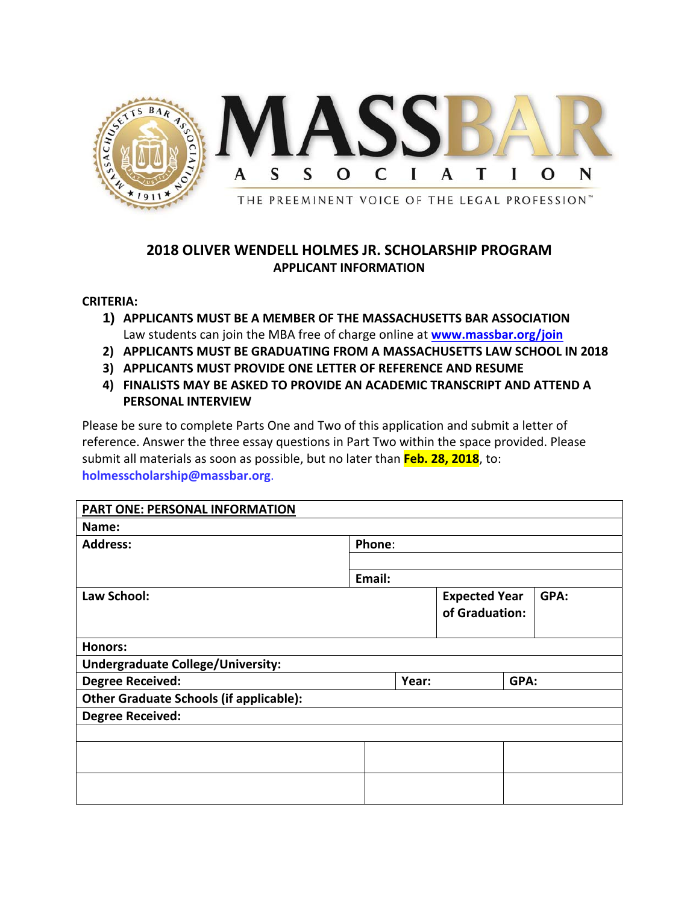

## **2018 OLIVER WENDELL HOLMES JR. SCHOLARSHIP PROGRAM APPLICANT INFORMATION**

## **CRITERIA:**

- **1) APPLICANTS MUST BE A MEMBER OF THE MASSACHUSETTS BAR ASSOCIATION** Law students can join the MBA free of charge online at **www.massbar.org/join**
- **2) APPLICANTS MUST BE GRADUATING FROM A MASSACHUSETTS LAW SCHOOL IN 2018**
- **3) APPLICANTS MUST PROVIDE ONE LETTER OF REFERENCE AND RESUME**
- **4) FINALISTS MAY BE ASKED TO PROVIDE AN ACADEMIC TRANSCRIPT AND ATTEND A PERSONAL INTERVIEW**

Please be sure to complete Parts One and Two of this application and submit a letter of reference. Answer the three essay questions in Part Two within the space provided. Please submit all materials as soon as possible, but no later than **Feb. 28, 2018**, to: **holmesscholarship@massbar.org**.

| PART ONE: PERSONAL INFORMATION                 |        |        |                      |      |      |  |
|------------------------------------------------|--------|--------|----------------------|------|------|--|
| Name:                                          |        |        |                      |      |      |  |
| <b>Address:</b>                                |        | Phone: |                      |      |      |  |
|                                                |        |        |                      |      |      |  |
|                                                | Email: |        |                      |      |      |  |
| Law School:                                    |        |        | <b>Expected Year</b> |      | GPA: |  |
|                                                |        |        | of Graduation:       |      |      |  |
|                                                |        |        |                      |      |      |  |
| <b>Honors:</b>                                 |        |        |                      |      |      |  |
| <b>Undergraduate College/University:</b>       |        |        |                      |      |      |  |
| <b>Degree Received:</b>                        |        | Year:  |                      | GPA: |      |  |
| <b>Other Graduate Schools (if applicable):</b> |        |        |                      |      |      |  |
| <b>Degree Received:</b>                        |        |        |                      |      |      |  |
|                                                |        |        |                      |      |      |  |
|                                                |        |        |                      |      |      |  |
|                                                |        |        |                      |      |      |  |
|                                                |        |        |                      |      |      |  |
|                                                |        |        |                      |      |      |  |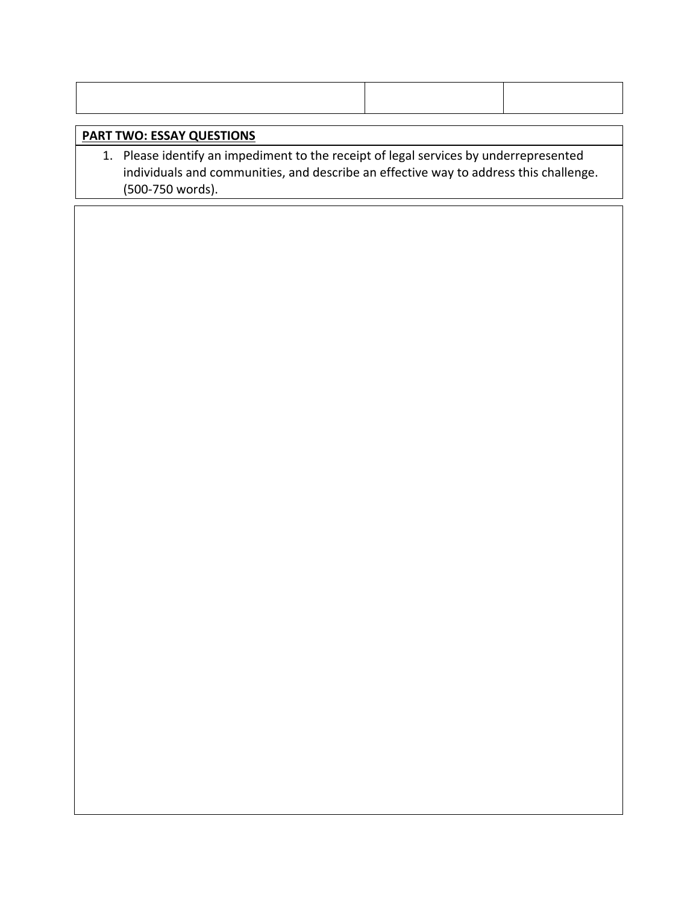## **PART TWO: ESSAY QUESTIONS**

1. Please identify an impediment to the receipt of legal services by underrepresented individuals and communities, and describe an effective way to address this challenge. (500‐750 words).